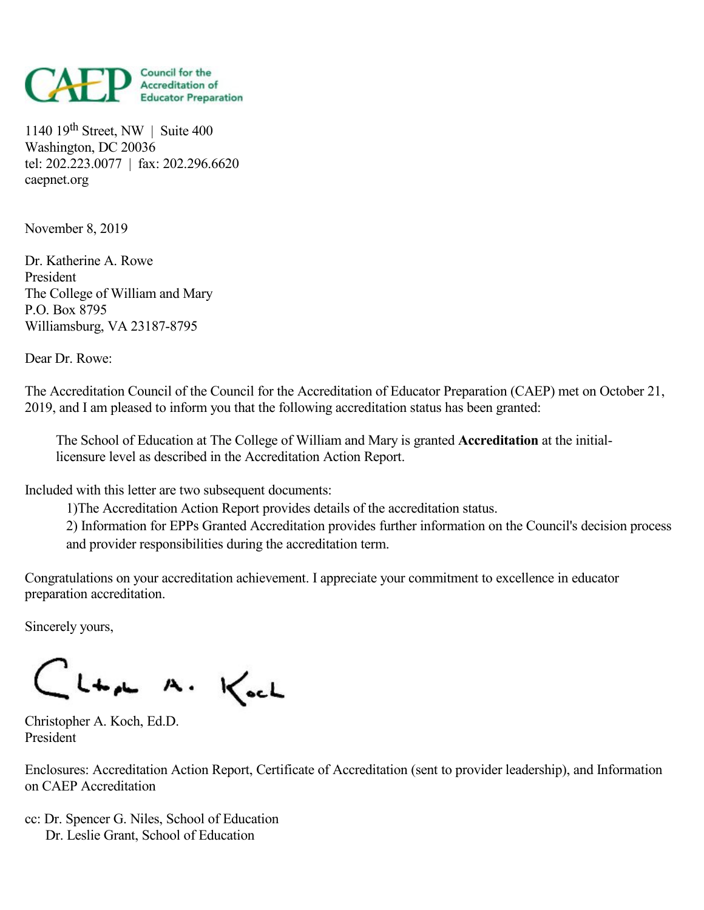

1140 19 th Street, NW | Suite 400 Washington, DC 20036 tel: 202.223.0077 | fax: 202.296.6620 caepnet.org

November 8, 2019

Dr. Katherine A. Rowe President The College of William and Mary P.O. Box 8795 Williamsburg, VA 23187-8795

Dear Dr. Rowe:

The Accreditation Council of the Council for the Accreditation of Educator Preparation (CAEP) met on October 21, 2019, and Iam pleased to inform you that the following accreditation status has been granted:

The School of Education at The College of William and Mary is granted **Accreditation** at the initiallicensure level as described in the Accreditation Action Report.

Included with this letter are two subsequent documents:

1)The Accreditation Action Report provides details of the accreditation status.

2) Information for EPPs Granted Accreditation provides further information on the Council's decision process and provider responsibilities during the accreditation term.

Congratulations on your accreditation achievement. Iappreciate your commitment to excellence in educator preparation accreditation.

Sincerely yours,

CLta A. Koch

Christopher A. Koch, Ed.D. President

Enclosures: Accreditation Action Report, Certificate of Accreditation (sent to provider leadership), and Information on CAEP Accreditation

cc: Dr. Spencer G. Niles, School of Education Dr. Leslie Grant, School of Education